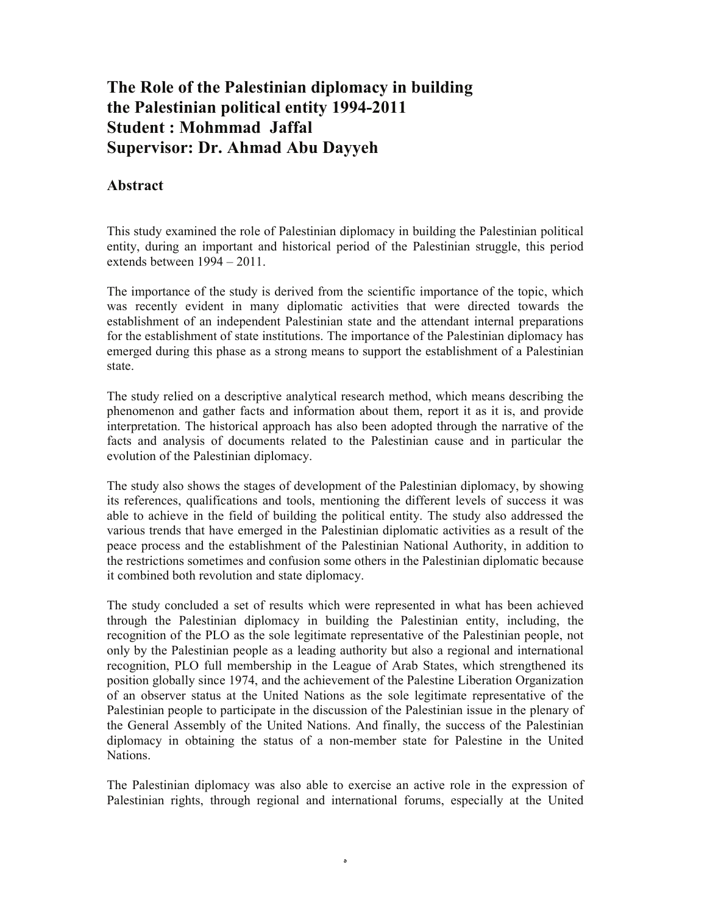## **The Role of the Palestinian diplomacy in building the Palestinian political entity 1994-2011 Student : Mohmmad Jaffal Supervisor: Dr. Ahmad Abu Dayyeh**

## **Abstract**

This study examined the role of Palestinian diplomacy in building the Palestinian political entity, during an important and historical period of the Palestinian struggle, this period extends between 1994 – 2011.

The importance of the study is derived from the scientific importance of the topic, which was recently evident in many diplomatic activities that were directed towards the establishment of an independent Palestinian state and the attendant internal preparations for the establishment of state institutions. The importance of the Palestinian diplomacy has emerged during this phase as a strong means to support the establishment of a Palestinian state.

The study relied on a descriptive analytical research method, which means describing the phenomenon and gather facts and information about them, report it as it is, and provide interpretation. The historical approach has also been adopted through the narrative of the facts and analysis of documents related to the Palestinian cause and in particular the evolution of the Palestinian diplomacy.

The study also shows the stages of development of the Palestinian diplomacy, by showing its references, qualifications and tools, mentioning the different levels of success it was able to achieve in the field of building the political entity. The study also addressed the various trends that have emerged in the Palestinian diplomatic activities as a result of the peace process and the establishment of the Palestinian National Authority, in addition to the restrictions sometimes and confusion some others in the Palestinian diplomatic because it combined both revolution and state diplomacy.

The study concluded a set of results which were represented in what has been achieved through the Palestinian diplomacy in building the Palestinian entity, including, the recognition of the PLO as the sole legitimate representative of the Palestinian people, not only by the Palestinian people as a leading authority but also a regional and international recognition, PLO full membership in the League of Arab States, which strengthened its position globally since 1974, and the achievement of the Palestine Liberation Organization of an observer status at the United Nations as the sole legitimate representative of the Palestinian people to participate in the discussion of the Palestinian issue in the plenary of the General Assembly of the United Nations. And finally, the success of the Palestinian diplomacy in obtaining the status of a non-member state for Palestine in the United Nations.

The Palestinian diplomacy was also able to exercise an active role in the expression of Palestinian rights, through regional and international forums, especially at the United

 $\delta$